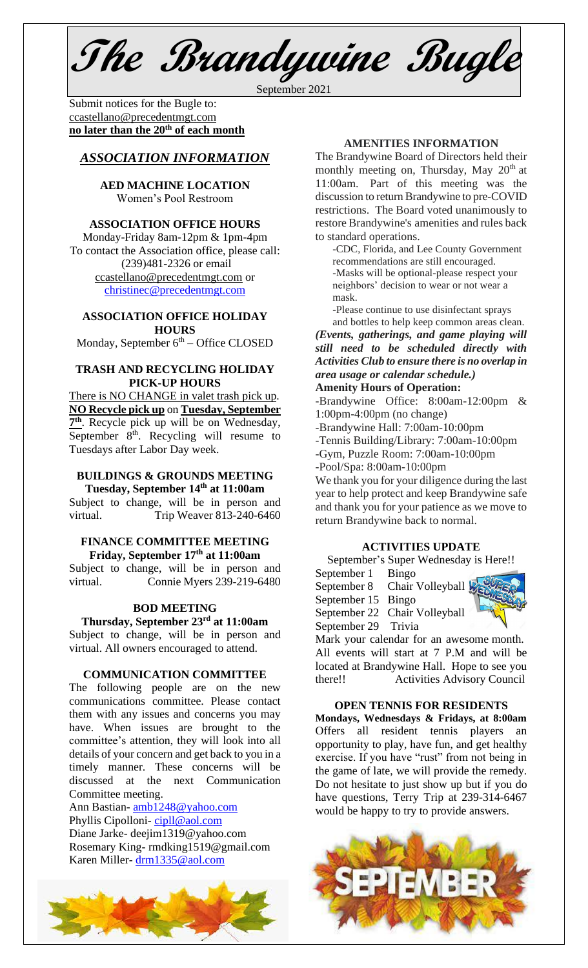**The Brandywine Bugle**

September 2021

Submit notices for the Bugle to: [ccastellano@precedentmgt.com](mailto:johnandbethgrooms@gmail.com) **no later than the 20th of each month**

## *ASSOCIATION INFORMATION*

**AED MACHINE LOCATION**  Women's Pool Restroom

#### **ASSOCIATION OFFICE HOURS**

Monday-Friday 8am-12pm & 1pm-4pm To contact the Association office, please call: (239)481-2326 or email [ccastellano@precedentmgt.com](mailto:ccastellano@precedentmgt.com) or

[christinec@precedentmgt.com](mailto:christinec@precedentmgt.com)

### **ASSOCIATION OFFICE HOLIDAY HOURS**

Monday, September 6<sup>th</sup> – Office CLOSED

#### **TRASH AND RECYCLING HOLIDAY PICK-UP HOURS**

There is NO CHANGE in valet trash pick up. **NO Recycle pick up** on **Tuesday, September**  7<sup>th</sup>. Recycle pick up will be on Wednesday, September  $8<sup>th</sup>$ . Recycling will resume to Tuesdays after Labor Day week.

### **BUILDINGS & GROUNDS MEETING Tuesday, September 14 th at 11:00am**

Subject to change, will be in person and virtual. Trip Weaver 813-240-6460

#### **FINANCE COMMITTEE MEETING Friday, September 17 th at 11:00am**

Subject to change, will be in person and virtual. Connie Myers 239-219-6480

### **BOD MEETING**

#### **Thursday, September 23rd at 11:00am** Subject to change, will be in person and

virtual. All owners encouraged to attend.

### **COMMUNICATION COMMITTEE**

The following people are on the new communications committee. Please contact them with any issues and concerns you may have. When issues are brought to the committee's attention, they will look into all details of your concern and get back to you in a timely manner. These concerns will be discussed at the next Communication Committee meeting.

Ann Bastian- [amb1248@yahoo.com](mailto:amb1248@yahoo.com) Phyllis Cipolloni- [cipll@aol.com](mailto:cipll@aol.com) Diane Jarke- deejim1319@yahoo.com

Rosemary King- rmdking1519@gmail.com Karen Miller- [drm1335@aol.com](mailto:drm1335@aol.com)



## **AMENITIES INFORMATION**

The Brandywine Board of Directors held their monthly meeting on, Thursday, May 20<sup>th</sup> at 11:00am. Part of this meeting was the discussion to return Brandywine to pre-COVID restrictions. The Board voted unanimously to restore Brandywine's amenities and rules back to standard operations.

-CDC, Florida, and Lee County Government recommendations are still encouraged. -Masks will be optional-please respect your neighbors' decision to wear or not wear a mask.

-Please continue to use disinfectant sprays and bottles to help keep common areas clean.

*(Events, gatherings, and game playing will still need to be scheduled directly with Activities Club to ensure there is no overlap in area usage or calendar schedule.)*

## **Amenity Hours of Operation:**

-Brandywine Office: 8:00am-12:00pm & 1:00pm-4:00pm (no change)

-Brandywine Hall: 7:00am-10:00pm

-Tennis Building/Library: 7:00am-10:00pm

-Gym, Puzzle Room: 7:00am-10:00pm

-Pool/Spa: 8:00am-10:00pm

We thank you for your diligence during the last year to help protect and keep Brandywine safe and thank you for your patience as we move to return Brandywine back to normal.

### **ACTIVITIES UPDATE**

September's Super Wednesday is Here!! September 1 Bingo

September 8 Chair Volleyball September 15 Bingo

September 22 Chair Volleyball

September 29 Trivia

Mark your calendar for an awesome month. All events will start at 7 P.M and will be located at Brandywine Hall. Hope to see you there!! Activities Advisory Council

#### **OPEN TENNIS FOR RESIDENTS**

**Mondays, Wednesdays & Fridays, at 8:00am** Offers all resident tennis players an opportunity to play, have fun, and get healthy exercise. If you have "rust" from not being in the game of late, we will provide the remedy. Do not hesitate to just show up but if you do have questions, Terry Trip at 239-314-6467 would be happy to try to provide answers.

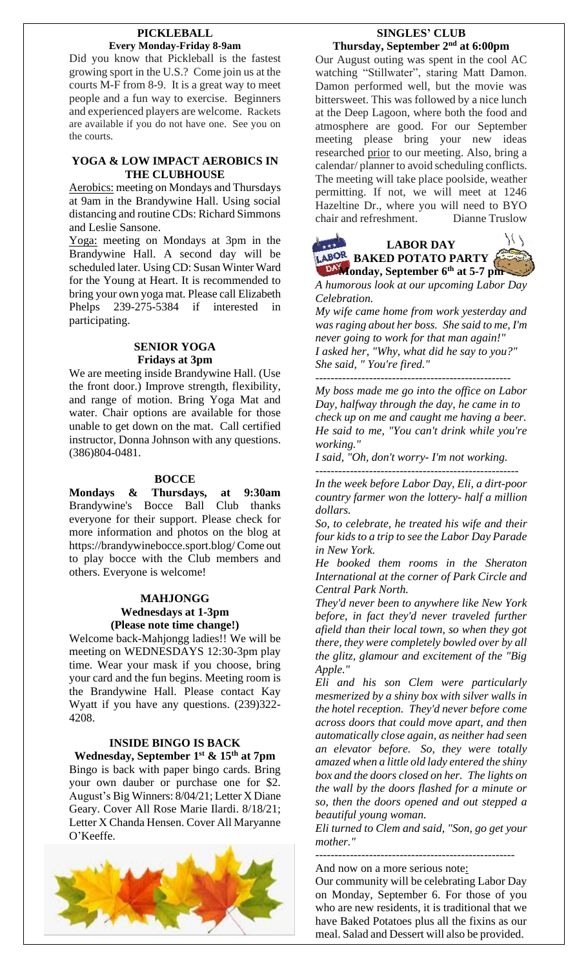#### **PICKLEBALL Every Monday-Friday 8-9am**

Did you know that Pickleball is the fastest growing sport in the U.S.? Come join us at the courts M-F from 8-9. It is a great way to meet people and a fun way to exercise. Beginners and experienced players are welcome. Rackets are available if you do not have one. See you on the courts.

## **YOGA & LOW IMPACT AEROBICS IN THE CLUBHOUSE**

Aerobics: meeting on Mondays and Thursdays at 9am in the Brandywine Hall. Using social distancing and routine CDs: Richard Simmons and Leslie Sansone.

Yoga: meeting on Mondays at 3pm in the Brandywine Hall. A second day will be scheduled later. Using CD: Susan Winter Ward for the Young at Heart. It is recommended to bring your own yoga mat. Please call Elizabeth Phelps 239-275-5384 if interested in participating.

## **SENIOR YOGA Fridays at 3pm**

We are meeting inside Brandywine Hall. (Use the front door.) Improve strength, flexibility, and range of motion. Bring Yoga Mat and water. Chair options are available for those unable to get down on the mat. Call certified instructor, Donna Johnson with any questions. (386)804-0481.

## **BOCCE**

**Mondays & Thursdays, at 9:30am** Brandywine's Bocce Ball Club thanks everyone for their support. Please check for more information and photos on the blog at https://brandywinebocce.sport.blog/ Come out to play bocce with the Club members and others. Everyone is welcome!

### **MAHJONGG Wednesdays at 1-3pm (Please note time change!)**

Welcome back-Mahjongg ladies!! We will be meeting on WEDNESDAYS 12:30-3pm play time. Wear your mask if you choose, bring your card and the fun begins. Meeting room is the Brandywine Hall. Please contact Kay Wyatt if you have any questions. (239)322- 4208.

## **INSIDE BINGO IS BACK Wednesday, September 1 st & 15 th at 7pm**

Bingo is back with paper bingo cards. Bring your own dauber or purchase one for \$2. August's Big Winners: 8/04/21; Letter X Diane Geary. Cover All Rose Marie Ilardi. 8/18/21; Letter X Chanda Hensen. Cover All Maryanne O'Keeffe.



## **SINGLES' CLUB Thursday, September 2 nd at 6:00pm**

Our August outing was spent in the cool AC watching "Stillwater", staring Matt Damon. Damon performed well, but the movie was bittersweet. This was followed by a nice lunch at the Deep Lagoon, where both the food and atmosphere are good. For our September meeting please bring your new ideas researched prior to our meeting. Also, bring a calendar/ planner to avoid scheduling conflicts. The meeting will take place poolside, weather permitting. If not, we will meet at 1246 Hazeltine Dr., where you will need to BYO chair and refreshment. Dianne Truslow





*A humorous look at our upcoming Labor Day Celebration.*

*My wife came home from work yesterday and was raging about her boss. She said to me, I'm never going to work for that man again!" I asked her, "Why, what did he say to you?" She said, " You're fired."*

*--------------------------------------------------- My boss made me go into the office on Labor*

*Day, halfway through the day, he came in to check up on me and caught me having a beer. He said to me, "You can't drink while you're working."*

*I said, "Oh, don't worry- I'm not working.*

*----------------------------------------------------- In the week before Labor Day, Eli, a dirt-poor country farmer won the lottery- half a million dollars.* 

*So, to celebrate, he treated his wife and their four kids to a trip to see the Labor Day Parade in New York.*

*He booked them rooms in the Sheraton International at the corner of Park Circle and Central Park North.*

*They'd never been to anywhere like New York before, in fact they'd never traveled further afield than their local town, so when they got there, they were completely bowled over by all the glitz, glamour and excitement of the "Big Apple."*

*Eli and his son Clem were particularly mesmerized by a shiny box with silver walls in the hotel reception. They'd never before come across doors that could move apart, and then automatically close again, as neither had seen an elevator before. So, they were totally amazed when a little old lady entered the shiny box and the doors closed on her. The lights on the wall by the doors flashed for a minute or so, then the doors opened and out stepped a beautiful young woman.*

*Eli turned to Clem and said, "Son, go get your mother."*

*----------------------------------------------------*

And now on a more serious note: Our community will be celebrating Labor Day on Monday, September 6. For those of you who are new residents, it is traditional that we have Baked Potatoes plus all the fixins as our meal. Salad and Dessert will also be provided.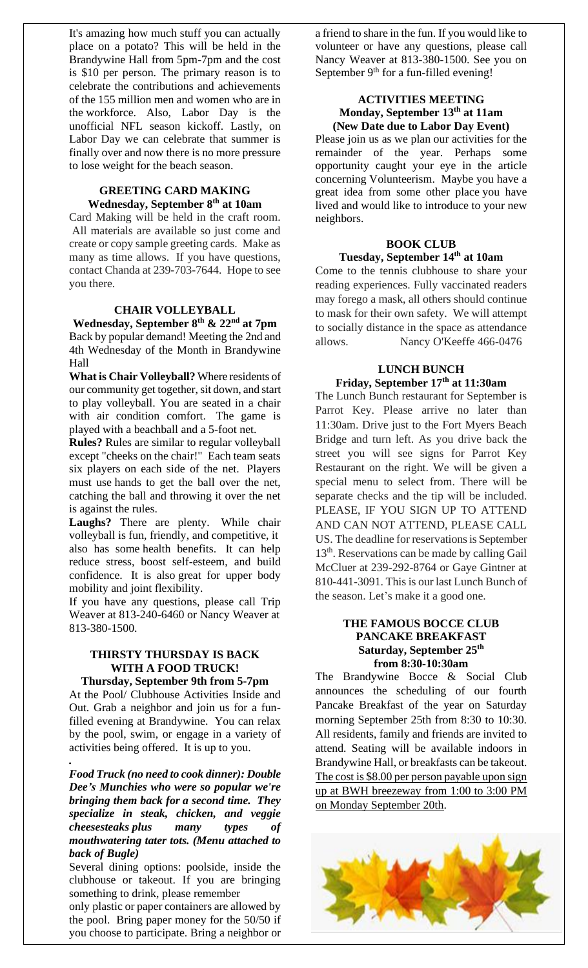It's amazing how much stuff you can actually place on a potato? This will be held in the Brandywine Hall from 5pm-7pm and the cost is \$10 per person. The primary reason is to celebrate the contributions and achievements of the 155 million men and women who are in the workforce. Also, Labor Day is the unofficial NFL season kickoff. Lastly, on Labor Day we can celebrate that summer is finally over and now there is no more pressure to lose weight for the beach season.

#### **GREETING CARD MAKING Wednesday, September 8 th at 10am**

Card Making will be held in the craft room. All materials are available so just come and create or copy sample greeting cards. Make as many as time allows. If you have questions, contact Chanda at 239-703-7644. Hope to see you there.

### **CHAIR VOLLEYBALL**

**Wednesday, September 8 th & 22 nd at 7pm** Back by popular demand! Meeting the 2nd and 4th Wednesday of the Month in Brandywine Hall

**What is Chair Volleyball?** Where residents of our community get together, sit down, and start to play volleyball. You are seated in a chair with air condition comfort. The game is played with a beachball and a 5-foot net.

**Rules?** Rules are similar to regular volleyball except "cheeks on the chair!" Each team seats six players on each side of the net. Players must use hands to get the ball over the net, catching the ball and throwing it over the net is against the rules.

**Laughs?** There are plenty. While chair volleyball is fun, friendly, and competitive, it also has some health benefits. It can help reduce stress, boost self-esteem, and build confidence. It is also great for upper body mobility and joint flexibility.

If you have any questions, please call Trip Weaver at 813-240-6460 or Nancy Weaver at 813-380-1500.

#### **THIRSTY THURSDAY IS BACK WITH A FOOD TRUCK! Thursday, September 9th from 5-7pm**

At the Pool/ Clubhouse Activities Inside and Out. Grab a neighbor and join us for a funfilled evening at Brandywine. You can relax by the pool, swim, or engage in a variety of activities being offered. It is up to you.

*.*

*Food Truck (no need to cook dinner): Double Dee's Munchies who were so popular we're bringing them back for a second time. They specialize in steak, chicken, and veggie cheesesteaks plus many types of mouthwatering tater tots. (Menu attached to back of Bugle)*

Several dining options: poolside, inside the clubhouse or takeout. If you are bringing something to drink, please remember

only plastic or paper containers are allowed by the pool. Bring paper money for the 50/50 if you choose to participate. Bring a neighbor or

a friend to share in the fun. If you would like to volunteer or have any questions, please call Nancy Weaver at 813-380-1500. See you on September 9<sup>th</sup> for a fun-filled evening!

### **ACTIVITIES MEETING Monday, September 13th at 11am (New Date due to Labor Day Event)**

Please join us as we plan our activities for the remainder of the year. Perhaps some opportunity caught your eye in the article concerning Volunteerism. Maybe you have a great idea from some other place you have lived and would like to introduce to your new neighbors.

## **BOOK CLUB Tuesday, September 14 th at 10am**

Come to the tennis clubhouse to share your reading experiences. Fully vaccinated readers may forego a mask, all others should continue to mask for their own safety. We will attempt to socially distance in the space as attendance allows. Nancy O'Keeffe 466-0476

## **LUNCH BUNCH Friday, September 17th at 11:30am**

The Lunch Bunch restaurant for September is Parrot Key. Please arrive no later than 11:30am. Drive just to the Fort Myers Beach Bridge and turn left. As you drive back the street you will see signs for Parrot Key Restaurant on the right. We will be given a special menu to select from. There will be separate checks and the tip will be included. PLEASE, IF YOU SIGN UP TO ATTEND AND CAN NOT ATTEND, PLEASE CALL US. The deadline for reservations is September 13<sup>th</sup>. Reservations can be made by calling Gail McCluer at 239-292-8764 or Gaye Gintner at 810-441-3091. This is our last Lunch Bunch of the season. Let's make it a good one.

## **THE FAMOUS BOCCE CLUB PANCAKE BREAKFAST Saturday, September 25 th from 8:30-10:30am**

The Brandywine Bocce & Social Club announces the scheduling of our fourth Pancake Breakfast of the year on Saturday morning September 25th from 8:30 to 10:30. All residents, family and friends are invited to attend. Seating will be available indoors in Brandywine Hall, or breakfasts can be takeout. The cost is \$8.00 per person payable upon sign up at BWH breezeway from 1:00 to 3:00 PM on Monday September 20th.

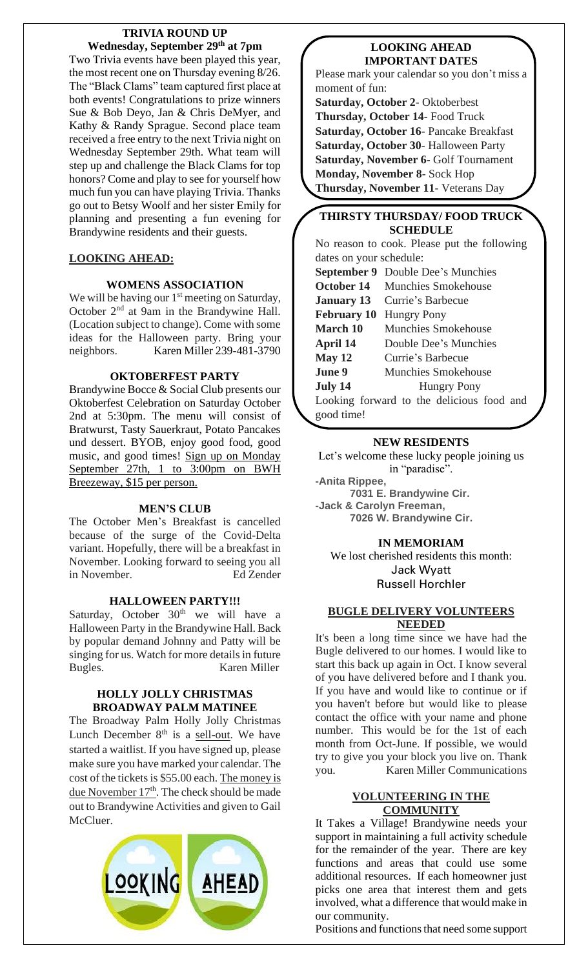### **TRIVIA ROUND UP Wednesday, September 29th at 7pm**

Two Trivia events have been played this year, the most recent one on Thursday evening 8/26. The "Black Clams" team captured first place at both events! Congratulations to prize winners Sue & Bob Deyo, Jan & Chris DeMyer, and Kathy & Randy Sprague. Second place team received a free entry to the next Trivia night on Wednesday September 29th. What team will step up and challenge the Black Clams for top honors? Come and play to see for yourself how much fun you can have playing Trivia. Thanks go out to Betsy Woolf and her sister Emily for planning and presenting a fun evening for Brandywine residents and their guests.

## **LOOKING AHEAD:**

## **WOMENS ASSOCIATION**

We will be having our 1<sup>st</sup> meeting on Saturday, October 2<sup>nd</sup> at 9am in the Brandywine Hall. (Location subject to change). Come with some ideas for the Halloween party. Bring your neighbors. Karen Miller 239-481-3790

## **OKTOBERFEST PARTY**

Brandywine Bocce & Social Club presents our Oktoberfest Celebration on Saturday October 2nd at 5:30pm. The menu will consist of Bratwurst, Tasty Sauerkraut, Potato Pancakes und dessert. BYOB, enjoy good food, good music, and good times! Sign up on Monday September 27th, 1 to 3:00pm on BWH Breezeway, \$15 per person.

### **MEN'S CLUB**

The October Men's Breakfast is cancelled because of the surge of the Covid-Delta variant. Hopefully, there will be a breakfast in November. Looking forward to seeing you all in November. Ed Zender

### **HALLOWEEN PARTY!!!**

Saturday, October  $30<sup>th</sup>$  we will have a Halloween Party in the Brandywine Hall. Back by popular demand Johnny and Patty will be singing for us. Watch for more details in future Bugles. Karen Miller

#### **HOLLY JOLLY CHRISTMAS BROADWAY PALM MATINEE**

The Broadway Palm Holly Jolly Christmas Lunch December  $8<sup>th</sup>$  is a <u>sell-out</u>. We have started a waitlist. If you have signed up, please make sure you have marked your calendar. The cost of the tickets is \$55.00 each. The money is due November  $17<sup>th</sup>$ . The check should be made out to Brandywine Activities and given to Gail McCluer.



## **LOOKING AHEAD IMPORTANT DATES**

Please mark your calendar so you don't miss a moment of fun:

**Saturday, October 2**- Oktoberbest **Thursday, October 14-** Food Truck **Saturday, October 16**- Pancake Breakfast **Saturday, October 30**- Halloween Party **Saturday, November 6**- Golf Tournament **Monday, November 8**- Sock Hop **Thursday, November 11**- Veterans Day

## **THIRSTY THURSDAY/ FOOD TRUCK SCHEDULE**

No reason to cook. Please put the following dates on your schedule:

**September 9** Double Dee's Munchies **October 14** Munchies Smokehouse **January 13** Currie's Barbecue **February 10** Hungry Pony **March 10** Munchies Smokehouse **April 14** Double Dee's Munchies **May 12** Currie's Barbecue **June 9** Munchies Smokehouse **July 14** Hungry Pony Looking forward to the delicious food and

good time!

# **NEW RESIDENTS**

Let's welcome these lucky people joining us in "paradise".

**-Anita Rippee, 7031 E. Brandywine Cir. -Jack & Carolyn Freeman, 7026 W. Brandywine Cir.**

## **IN MEMORIAM**

We lost cherished residents this month: Jack Wyatt Russell Horchler

## **BUGLE DELIVERY VOLUNTEERS NEEDED**

It's been a long time since we have had the Bugle delivered to our homes. I would like to start this back up again in Oct. I know several of you have delivered before and I thank you. If you have and would like to continue or if you haven't before but would like to please contact the office with your name and phone number. This would be for the 1st of each month from Oct-June. If possible, we would try to give you your block you live on. Thank you. Karen Miller Communications

## **VOLUNTEERING IN THE COMMUNITY**

It Takes a Village! Brandywine needs your support in maintaining a full activity schedule for the remainder of the year. There are key functions and areas that could use some additional resources. If each homeowner just picks one area that interest them and gets involved, what a difference that would make in our community.

Positions and functions that need some support